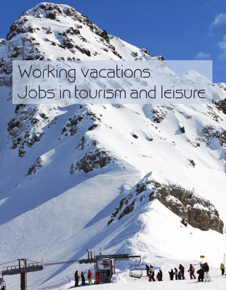# Working vacations: Jobs in tourism and leisure

Kt hr i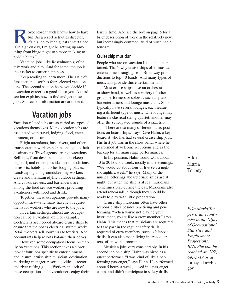Solve Rosenhauch knows how to have<br>fun. As a resort activities director,<br>it's his job to keep guests entertained.<br>"On a given day I might be setting up anyfun. As a resort activities director, it's his job to keep guests entertained. "On a given day, I might be setting up anything from bingo night to s'more-making to paddle boats."

Vacation jobs, like Rosenhauch's, often mix work and play. And for some, the job is their ticket to career happiness.

Keep reading to learn more. The article's first section describes four selected vacation jobs. The second section helps you decide if a vacation career is a good fit for you. A third section explains how to find and get these jobs. Sources of information are at the end.

## **Vacation jobs**

Vacation-related jobs are as varied as types of vacations themselves. Many vacation jobs are associated with travel, lodging, food, entertainment, or leisure.

Flight attendants, bus drivers, and other transportation workers help people get to their destinations. Travel agents arrange vacations. Bellhops, front desk personnel, housekeeping staff, and others provide accommodations in resorts, hotels, and other lodging places. Landscaping and groundskeeping workers create and maintain idyllic outdoor settings. And cooks, servers, and bartenders, are among the food service workers providing vacationers with food and drink.

Together, these occupations provide many opportunities—and many have few requirements for workers who are new to the jobs.

In certain settings, almost any occupation can be a vacation job. For example, electricians are needed aboard cruise ships to ensure that the boat's electrical system works. Retail workers sell souvenirs to tourists. And accountants help resorts balance their books.

However, some occupations focus primarily on vacations. This section takes a closer look at four jobs specific to entertainment and leisure: cruise ship musician, destination marketing manager, resort activities director, and river rafting guide. Workers in each of these occupations help vacationers enjoy their

leisure time. And see the box on page 5 for a brief description of work in the relatively new, but increasingly common, field of sustainable tourism.

#### **Cruise ship musician**

People who are on vacation like to be entertained. That's why cruise ships offer musical entertainment ranging from Broadway productions to top-40 bands. And many types of musicians provide this entertainment.

Most cruise ships have an orchestra or show band, as well as a variety of other group performers or soloists, such as piano bar entertainers and lounge musicians. Ships typically have several lounges, each featuring a different type of music. One lounge may feature a classical string quartet; another may offer the syncopated sounds of a jazz trio.

"There are so many different music positions on board ships," says Dave Hahn, a keyboardist who has had several cruise ship jobs. His first job was in the show band, where he performed at welcome receptions and as the backup for all main stage performances.

In his position, Hahn would work about 10 to 20 hours a week, mostly in the evenings. "We would do about four or five sets a night, six nights a week," he says. Many of the musical offerings aboard cruise ships are at night, but when the ship is at sea, musicians sometimes play during the day. Musicians also attend rehearsals, although they should be ready to play with little preparation.

Cruise ship musicians often have other responsibilities besides practicing and performing. "When you're not playing your instrument, you're like a crew member," says Hahn. This means that musicians are required to take part in the regular safety drills required of crew members, such as lifeboat drills. It can also mean living in crew quarters, often with a roommate.

Musician jobs vary considerably. In his second job on a ship, Hahn was hired as a guest performer. "I was kind of like a performing passenger," says Hahn. He performed about 5 hours a week, stayed in a passenger cabin, and didn't participate in safety drills.

Elka Maria Torpey

*Elka Maria Torpey is an economist in the Office of Occupational Statistics and Employment Projections, BLS. She can be reached at (202) 691-5719 or at*  torpey.elka@bls. gov*.*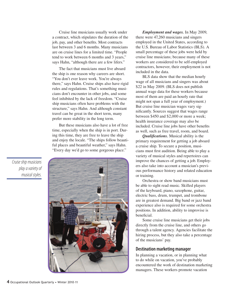Cruise line musicians usually work under a contract, which stipulates the duration of the job, pay, and other benefits. Most contracts last between 3 and 6 months. Many musicians are on cruise lines for a limited time. "People tend to work between 6 months and 3 years," says Hahn, "although there are a few lifers."

The fact that musicians must live aboard the ship is one reason why careers are short. "You don't ever leave work. You're always there," says Hahn. Cruise ships also have rigid rules and regulations. That's something musicians don't encounter in other jobs, and some feel inhibited by the lack of freedom. "Cruise ship musicians often have problems with the structure," says Hahn. And although constant travel can be great in the short term, many prefer more stability in the long term.

But these musicians also have a lot of free time, especially when the ship is in port. During this time, they are free to leave the ship and enjoy the locale. "The ships follow beautiful places and beautiful weather," says Hahn. "Every day we'd go to some gorgeous place."



*Employment and wages.* In May 2009, there were 47,260 musicians and singers employed in the United States, according to the U.S. Bureau of Labor Statistics (BLS). A small percentage of these jobs were held by cruise line musicians; because many of these workers are considered to be self-employed contractors, however, their employment is not included in the data.

BLS data show that the median hourly wage of all musicians and singers was about \$22 in May 2009. (BLS does not publish annual wage data for these workers because most of them are paid an hourly rate that might not span a full year of employment.) But cruise line musician wages vary significantly. Sources suggest that wages range between \$450 and \$2,000 or more a week; health insurance coverage may also be included. Cruise line jobs have other benefits as well, such as free travel, room, and board.

*Qualifications.* Musical ability is the primary requirement for getting a job aboard a cruise ship. To secure a position, musicians must first audition. Being able to play a variety of musical styles and repertoires can improve the chances of getting a job. Employers also take into account a musician's previous performance history and related education or training.

Orchestra or show band musicians must be able to sight read music. Skilled players of the keyboard, piano, saxophone, guitar, electric bass, drum, trumpet, and trombone are in greatest demand. Big band or jazz band experience also is required for some orchestra positions. In addition, ability to improvise is beneficial.

Some cruise line musicians get their jobs directly from the cruise line, and others go through a talent agency. Agencies facilitate the hiring process, but they also take a percentage of the musicians' pay.

#### **Destination marketing manager**

In planning a vacation, or in planning what to do while on vacation, you've probably encountered the work of destination marketing managers. These workers promote vacation

*Cruise ship musicians play a variety of musical styles.*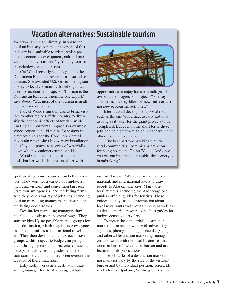## **Vacation alternatives: Sustainable tourism**

Vacation careers are directly linked to the tourism industry. A popular segment of that industry is sustainable tourism, which promotes economic development, cultural preservation, and environmentally friendly tourism in underdeveloped countries.

Cat Wood recently spent 2 years in the Dominican Republic involved in sustainable tourism. She awarded U.S. Government grant money to local community-based organizations for ecotourism projects. "Tourism is the Dominican Republic's number one export," says Wood. "But most of the tourism is in allinclusive resort towns."

Part of Wood's mission was to bring visitors to other regions of the country to diversify the economic effects of tourism while limiting environmental impact. For example, Wood helped to build cabins for visitors in a remote area near the Cordillera Central mountain range; she also oversaw installation of safety equipment at a series of waterfalls down which vacationers jump or slide.

Wood spent some of her time at a desk, but her work also presented her with



opportunities to enjoy her surroundings. "I oversaw the progress on projects," she says, "sometimes taking hikes on new trails or testing new ecotourism activities."

International development jobs abroad, such as the one Wood had, usually last only as long as it takes for the grant projects to be completed. But even in the short term, these jobs can be a great way to gain leadership and other practical experience.

"The best part was working with the rural communities. Dominicans are known for being hospitable," says Wood. "And once you get out into the countryside, the scenery is breathtaking."

spots or attractions to tourists and other visitors. They work for a variety of employers, including visitors' and convention bureaus, State tourism agencies, and marketing firms. And they have a variety of job titles, including tourism marketing managers and destination marketing coordinators.

Destination marketing managers draw people to a destination in several ways. They start by identifying possible market groups for their destination, which may include everyone from local families to international travelers. They then develop a plan to reach those groups within a specific budget, targeting them through promotional materials—such as newspaper ads, visitors' guides, and television commercials—and they often oversee the creation of these materials.

Lilly Kelly works as a destination marketing manager for the Anchorage, Alaska,

visitors' bureau. "We advertise at the local, national, and international levels to draw people to Alaska," she says. Many visitors' bureaus, including the Anchorage one, publish official guides for tourists. These guides usually include information about local restaurants and entertainment, as well as audience-specific resources, such as guides for budget-conscious travelers.

To create these materials, destination marketing managers work with advertising agencies, photographers, graphic designers, and others. Destination marketing managers also work with the local businesses that are members of the visitors' bureau and are featured in its publications.

The job tasks of a destination marketing manager vary by the size of the visitors' bureau and by individual position. Teresa Ide works for the Spokane, Washington, visitors'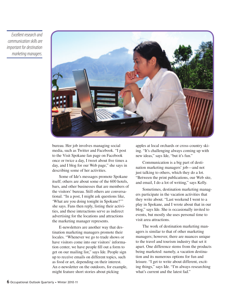*Excellent research and communication skills are important for destination marketing managers.* 



bureau. Her job involves managing social media, such as Twitter and Facebook. "I post to the Visit Spokane fan page on Facebook once or twice a day, I tweet about five times a day, and I blog for our Web page," she says in describing some of her activities.

Some of Ide's messages promote Spokane itself; others are about some of the 600 hotels, bars, and other businesses that are members of the visitors' bureau. Still others are conversational. "In a post, I might ask questions like, 'What are you doing tonight in Spokane?'" she says. Fans then reply, listing their activities, and these interactions serve as indirect advertising for the locations and attractions the marketing manager represents.

E-newsletters are another way that destination marketing managers promote their locales. "Whenever we go to trade shows or have visitors come into our visitors' information center, we have people fill out a form to get on our mailing list," says Ide. People sign up to receive emails on different topics, such as food or art, depending on their interest. An e-newsletter on the outdoors, for example, might feature short stories about picking

apples at local orchards or cross-country skiing. "It's challenging always coming up with new ideas," says Ide, "but it's fun."

Communication is a big part of destination marketing managers' job—and not just talking to others, which they do a lot. "Between the print publications, our Web site, and email, I do a lot of writing," says Kelly.

Sometimes, destination marketing managers participate in the vacation activities that they write about. "Last weekend I went to a play in Spokane, and I wrote about that in our blog," says Ide. She is occasionally invited to events, but mostly she uses personal time to visit area attractions.

The work of destination marketing managers is similar to that of other marketing managers; however, there are nuances unique to the travel and tourism industry that set it apart. One difference stems from the products being marketed: namely, a vacation destination and its numerous options for fun and leisure. "I get to write about different, exciting things," says Ide. "I'm always researching what's current and the latest fad."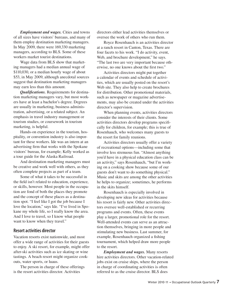*Employment and wages.* Cities and towns of all sizes have visitors' bureaus, and many of them employ destination marketing managers. In May 2009, there were 169,330 marketing managers, according to BLS. Some of these workers market tourist destinations.

Wage data from BLS show that marketing managers had a median annual wage of \$110,030, or a median hourly wage of about \$53, in May 2009, although anecdotal sources suggest that destination marketing managers may earn less than this amount.

*Qualifications.* Requirements for destination marketing managers vary, but most workers have at least a bachelor's degree. Degrees are usually in marketing, business administration, advertising, or a related subject. An emphasis in travel industry management or tourism studies, or coursework in tourism marketing, is helpful.

Hands-on experience in the tourism, hospitality, or convention industry is also important for these workers. Ide was an intern at an advertising firm that works with the Spokane visitors' bureau, for example; Kelly worked as a tour guide for the Alaska Railroad.

And destination marketing managers must be creative and work well with others, as they often complete projects as part of a team.

Some of what it takes to be successful in the field isn't related to education, experience, or skills, however. Most people in the occupation are fond of both the places they promote and the concept of these places as a destination spot. "I feel like I got the job because I love the location," says Ide. "I've lived in Spokane my whole life, so I really know the area. And I love to travel, so I know what people want to know when they travel."

#### **Resort activities director**

Vacation resorts exist nationwide, and most offer a wide range of activities for their guests to enjoy. A ski resort, for example, might offer after-ski activities such as ice skating or wine tastings. A beach resort might organize cookouts, water sports, or luaus.

The person in charge of these offerings is the resort activities director. Activities

directors either lead activities themselves or oversee the work of others who run them.

Royce Rosenhauch is an activities director at a ranch resort in Canton, Texas. There are four facets to his work. "I do activity, event, Web, and brochure development," he says. "The last two are very important because otherwise, no one knows about the first two."

Activities directors might put together a calendar of events and schedule of activities, which are usually posted on the resort's Web site. They also help to create brochures for distribution. Other promotional materials, such as newspaper or magazine advertisements, may also be created under the activities director's supervision.

When planning events, activities directors consider the interests of their clients. Some activities directors develop programs specifically for children, for example; this is true of Rosenhauch, who welcomes many guests to the resort for family reunions.

Activities directors usually offer a variety of recreational options—including some that involve less strenuous fun. "Almost anything you'd have in a physical education class can be an activity," says Rosenhauch, "but I'm working on a cooking show because some of our guests don't want to do something physical." Music and skits are among the other activities he helps to organize; sometimes, he performs in the skits himself.

Rosenhauch is especially involved in developing new ideas for activities because his resort is fairly new. Other activities directors oversee well-established or recurring programs and events. Often, these events play a larger, promotional role for the resort. Well-attended events can serve as an attraction themselves, bringing in more people and stimulating new business. Last summer, for example, Rosenhauch organized a fishing tournament, which helped draw more people to the resort.

*Employment and wages.* Many resorts hire activities directors. Other vacation-related jobs exist on cruise ships, where the person in charge of coordinating activities is often referred to as the cruise director. BLS does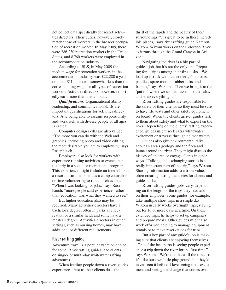not collect data specifically for resort activities directors. Their duties, however, closely match those of workers in the broader occupation of recreation worker. In May 2009, there were 286,230 recreation workers in the United States, and 8,760 workers were employed in the accommodation industry.

According to BLS, in May 2009 the median wage for recreation workers in the accommodation industry was \$22,280 a year or about \$11 an hour—somewhat less than the corresponding wage for all types of recreation workers. Activities directors, however, reportedly earn more than this amount.

*Qualifications.* Organizational ability, leadership, and communication skills are important qualifications for activities directors. And being able to assume responsibility and work well with diverse people of all ages is critical.

Computer design skills are also valued. "The more you can do with the Web and graphics, including photo and video editing, the more desirable you are to employers," says Rosenhauch.

Employers also look for workers with experience running activities or events, particularly in a social or recreational program. This experience might include an internship at a resort, a summer spent as a camp counselor, or time volunteering to run church events. "When I was looking for jobs," says Rosenhauch, "more people said experience, rather than education, was what they wanted to see."

But higher education also may be required. Many activities directors have a bachelor's degree, often in parks and recreation or a similar field, and some have a master's degree. Activities directors in other settings, such as nursing homes, may have additional or different requirements.

#### **River rafting guide**

Adventure travel is a popular vacation choice for some. River rafting guides lead clients on single- or multi-day whitewater rafting adventures.

When leading people down a river, guides experience—just as their clients do—the

thrill of the rapids and the beauty of their surroundings. "It's great to be in these incredible places," says river rafting guide Kamron Wixom. Wixom works on the Colorado River as it runs through the Grand Canyon in Arizona.

Navigating the river is a big part of guides' job, but it's not the only one. Preparing for a trip is among their first tasks. "We load up a truck with ice, coolers, food, oars, paddles, spare motors, rubber rafts, and frames," says Wixom. "Then we bring it to the 'put in,' where we unload, assemble the rafts, and strap everything in."

River rafting guides are responsible for the safety of their clients, so they must be sure to have life vests and other safety equipment on board. When the clients arrive, guides talk to them about safety and what to expect on the river. Depending on the clients' rafting experience, guides might seek extra whitewater excitement or traverse through calmer waters.

Guides also give environmental talks about an area's geology and the flora and fauna around the river. They might discuss the history of an area or engage clients in other ways. "Talking and exchanging stories is a really important part of the trip," says Wixom. Sharing information adds to a trip's value, often creating lasting memories for clients and guides alike.

River rafting guides' jobs vary, depending on the length of the trips they lead and on their employer. Some guides, for example, take multiple short trips in a single day. Wixom usually works overnight trips, staying out for 10 or more days at a time. On these extended trips, he helps to set up campsites and prepare meals. Other guides might also work off-river, helping to manage equipment rentals or to make reservations for trips.

But a key part of any guide's job is making sure that clients are enjoying themselves. "One of the best parts is seeing people experience a trip down the river for the first time," says Wixom. "We're out there all the time, so it's like our own little playground, but they've never seen it before. I love seeing their excitement and seeing the change that comes over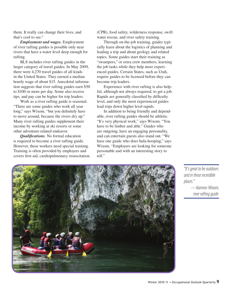them. It really can change their lives, and that's cool to see."

*Employment and wages.* Employment of river rafting guides is possible only near rivers that have a water level deep enough for rafting.

BLS includes river rafting guides in the larger category of travel guides. In May 2009, there were 4,270 travel guides of all kinds in the United States. They earned a median hourly wage of about \$15. Anecdotal information suggests that river rafting guides earn \$50 to \$100 or more per day. Some also receive tips, and pay can be higher for trip leaders.

Work as a river rafting guide is seasonal. "There are some guides who work all year long," says Wixom, "but you definitely have to move around, because the rivers dry up." Many river rafting guides supplement their income by working at ski resorts or some other adventure-related endeavor.

*Qualifications.* No formal education is required to become a river rafting guide. However, these workers need special training. Training is often provided by employers and covers first aid, cardiopulmonary resuscitation (CPR), food safety, wilderness response, swift water rescue, and river safety training.

Through on-the-job training, guides typically learn about the logistics of planning and leading a trip and about geology and related topics. Some guides start their training as "swampers," or extra crew members, learning the job tasks while they help more experienced guides. Certain States, such as Utah, require guides to be licensed before they can become trip leaders.

Experience with river rafting is also helpful, although not always required, to get a job. Rapids are generally classified by difficulty level, and only the most experienced guides lead trips down higher level rapids.

In addition to being friendly and dependable, river rafting guides should be athletic. "It's very physical work," says Wixom. "You have to be limber and able." Guides who are outgoing, have an engaging personality, and can entertain guests also stand out. "We have one guide who does hula-hooping," says Wixom. "Employers are looking for someone personable and with an interesting story to tell."



*"It's great to be outdoors and in these incredible places." —Kamron Wixom, river rafting guide*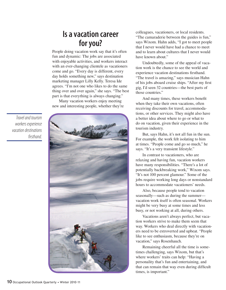## **Is a vacation career for you?**

People doing vacation work say that it's often fun and dynamic: The jobs are associated with enjoyable activities, and workers interact with an ever-changing clientele as vacationers come and go. "Every day is different, every day holds something new," says destination marketing manager Lilly Kelly. Teresa Ide agrees. "I'm not one who likes to do the same thing over and over again," she says. "The best part is that everything is always changing."

Many vacation workers enjoy meeting new and interesting people, whether they're

*Travel and tourism workers experience vacation destinations firsthand.*



colleagues, vacationers, or local residents. "The camaraderie between the guides is fun," says Wixom. Hahn adds, "I got to meet people that I never would have had a chance to meet and to learn about cultures that I never would have known about."

Undoubtedly, some of the appeal of vacation work is the chance to see the world and experience vacation destinations firsthand. "The travel is amazing," says musician Hahn of his jobs aboard cruise ships. "After my first gig, I'd seen 32 countries—the best parts of those countries."

And many times, these workers benefit when they take their own vacations, often receiving discounts for travel, accommodations, or other services. They might also have a better idea about where to go or what to do on vacation, given their experience in the tourism industry.

But, says Hahn, it's not all fun in the sun. For example, the work felt isolating to him at times. "People come and go so much," he says. "It's a very transient lifestyle."

In contrast to vacationers, who are relaxing and having fun, vacation workers have many responsibilities. "There's a lot of potentially backbreaking work," Wixom says. "It's not 100 percent glamour." Some of the jobs require working long days or nonstandard hours to accommodate vacationers' needs.

Also, because people tend to vacation seasonally—such as during the summer vacation work itself is often seasonal. Workers might be very busy at some times and less busy, or not working at all, during others.

Vacations aren't always perfect, but vacation workers strive to make them seem that way. Workers who deal directly with vacationers need to be extroverted and upbeat. "People like to see enthusiasm, because they're on vacation," says Rosenhauch.

Remaining cheerful all the time is sometimes challenging, says Wixom, but that's where workers' traits can help: "Having a personality that's fun and entertaining, and that can remain that way even during difficult times, is important."